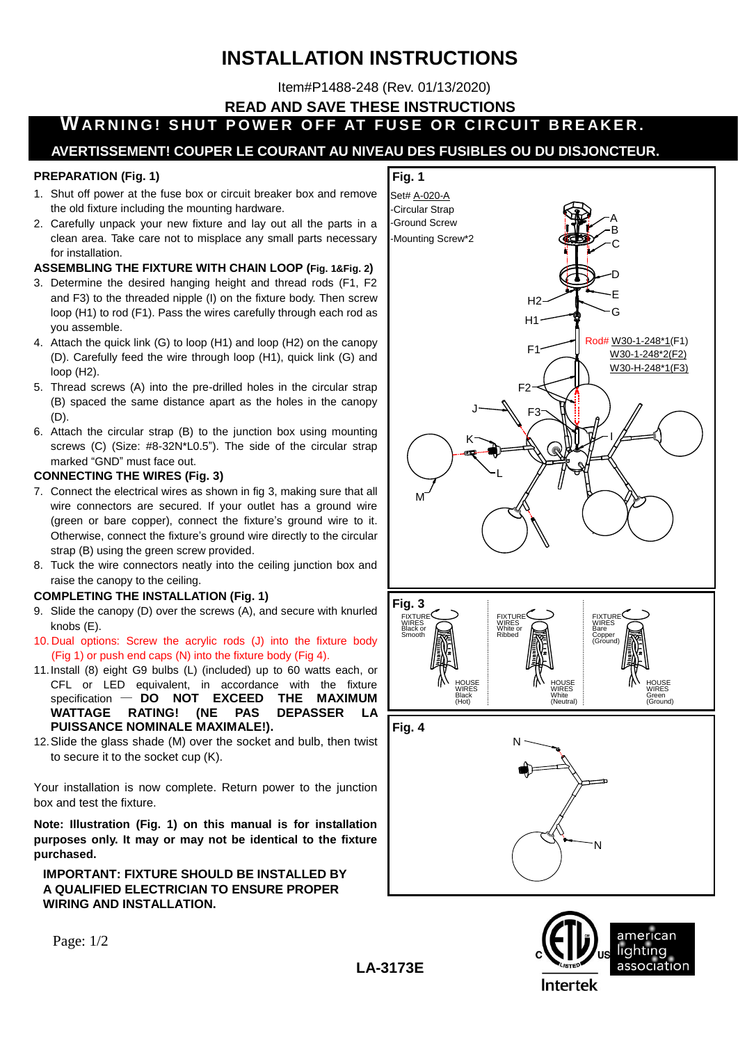# **INSTALLATION INSTRUCTIONS**

Item#P1488-248 (Rev. 01/13/2020)

**READ AND SAVE THESE INSTRUCTIONS**

**WARNING! SHUT POWER OFF AT FUSE OR CIRCUIT BREAKER.** 

## **AVERTISSEMENT! COUPER LE COURANT AU NIVEAU DES FUSIBLES OU DU DISJONCTEUR.**

### **PREPARATION (Fig. 1)**

- 1. Shut off power at the fuse box or circuit breaker box and remove the old fixture including the mounting hardware.
- 2. Carefully unpack your new fixture and lay out all the parts in a clean area. Take care not to misplace any small parts necessary for installation.

## **ASSEMBLING THE FIXTURE WITH CHAIN LOOP (Fig. 1&Fig. 2)**

- 3. Determine the desired hanging height and thread rods (F1, F2 and F3) to the threaded nipple (I) on the fixture body. Then screw loop (H1) to rod (F1). Pass the wires carefully through each rod as you assemble.
- 4. Attach the quick link (G) to loop (H1) and loop (H2) on the canopy (D). Carefully feed the wire through loop (H1), quick link (G) and loop (H2).
- 5. Thread screws (A) into the pre-drilled holes in the circular strap (B) spaced the same distance apart as the holes in the canopy (D).
- 6. Attach the circular strap (B) to the junction box using mounting screws (C) (Size: #8-32N\*L0.5"). The side of the circular strap marked "GND" must face out.

#### **CONNECTING THE WIRES (Fig. 3)**

- 7. Connect the electrical wires as shown in fig 3, making sure that all wire connectors are secured. If your outlet has a ground wire (green or bare copper), connect the fixture's ground wire to it. Otherwise, connect the fixture's ground wire directly to the circular strap (B) using the green screw provided.
- 8. Tuck the wire connectors neatly into the ceiling junction box and raise the canopy to the ceiling.

#### **COMPLETING THE INSTALLATION (Fig. 1)**

- 9. Slide the canopy (D) over the screws (A), and secure with knurled knobs (E).
- 10. Dual options: Screw the acrylic rods (J) into the fixture body (Fig 1) or push end caps (N) into the fixture body (Fig 4).
- 11.Install (8) eight G9 bulbs (L) (included) up to 60 watts each, or CFL or LED equivalent, in accordance with the fixture specification — **DO NOT EXCEED THE MAXIMUM WATTAGE RATING! (NE PAS DEPASSER LA PUISSANCE NOMINALE MAXIMALE!).**
- 12.Slide the glass shade (M) over the socket and bulb, then twist to secure it to the socket cup (K).

Your installation is now complete. Return power to the junction box and test the fixture.

**Note: Illustration (Fig. 1) on this manual is for installation purposes only. It may or may not be identical to the fixture purchased.**

## **IMPORTANT: FIXTURE SHOULD BE INSTALLED BY A QUALIFIED ELECTRICIAN TO ENSURE PROPER WIRING AND INSTALLATION.**



american lighting association **Intertek** 

Page: 1/2